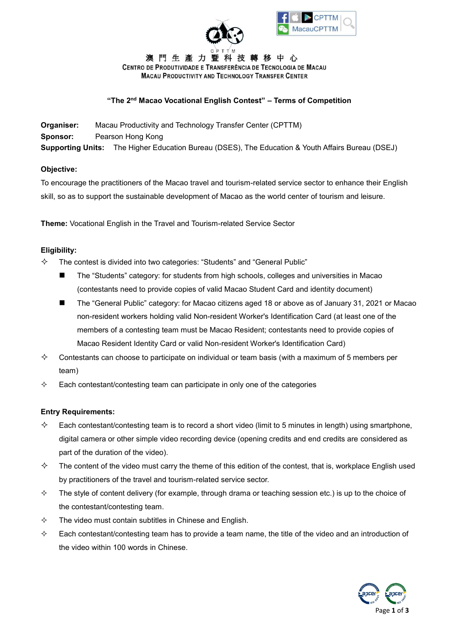



澳門生產力暨科技轉移中心 CENTRO DE PRODUTIVIDADE E TRANSFERÊNCIA DE TECNOLOGIA DE MACAU **MACAU PRODUCTIVITY AND TECHNOLOGY TRANSFER CENTER** 

## **"The 2nd Macao Vocational English Contest" – Terms of Competition**

**Organiser:** Macau Productivity and Technology Transfer Center (CPTTM) **Sponsor:** Pearson Hong Kong **Supporting Units:** The Higher Education Bureau (DSES), The Education & Youth Affairs Bureau (DSEJ)

## **Objective:**

To encourage the practitioners of the Macao travel and tourism-related service sector to enhance their English skill, so as to support the sustainable development of Macao as the world center of tourism and leisure.

**Theme:** Vocational English in the Travel and Tourism-related Service Sector

## **Eligibility:**

- $\diamond$  The contest is divided into two categories: "Students" and "General Public"
	- The "Students" category: for students from high schools, colleges and universities in Macao (contestants need to provide copies of valid Macao Student Card and identity document)
	- The "General Public" category: for Macao citizens aged 18 or above as of January 31, 2021 or Macao non-resident workers holding valid Non-resident Worker's Identification Card (at least one of the members of a contesting team must be Macao Resident; contestants need to provide copies of Macao Resident Identity Card or valid Non-resident Worker's Identification Card)
- $\diamond$  Contestants can choose to participate on individual or team basis (with a maximum of 5 members per team)
- $\Diamond$  Each contestant/contesting team can participate in only one of the categories

#### **Entry Requirements:**

- $\diamond$  Each contestant/contesting team is to record a short video (limit to 5 minutes in length) using smartphone, digital camera or other simple video recording device (opening credits and end credits are considered as part of the duration of the video).
- $\diamond$  The content of the video must carry the theme of this edition of the contest, that is, workplace English used by practitioners of the travel and tourism-related service sector.
- $\Diamond$  The style of content delivery (for example, through drama or teaching session etc.) is up to the choice of the contestant/contesting team.
- $\diamond$  The video must contain subtitles in Chinese and English.
- $\Diamond$  Each contestant/contesting team has to provide a team name, the title of the video and an introduction of the video within 100 words in Chinese.

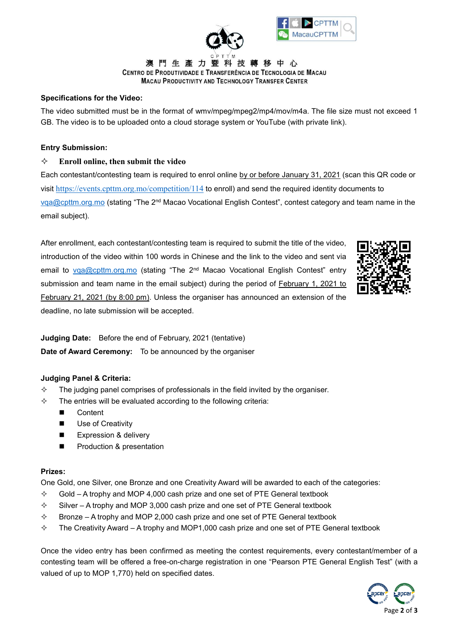



澳門生產力暨 技轉移中心 CENTRO DE PRODUTIVIDADE E TRANSFERÊNCIA DE TECNOLOGIA DE MACAU **MACAU PRODUCTIVITY AND TECHNOLOGY TRANSFER CENTER** 

# **Specifications for the Video:**

The video submitted must be in the format of wmv/mpeg/mpeg2/mp4/mov/m4a. The file size must not exceed 1 GB. The video is to be uploaded onto a cloud storage system or YouTube (with private link).

## **Entry Submission:**

# **Enroll online, then submit the video**

Each contestant/contesting team is required to enrol online by or before January 31, 2021 (scan this QR code or visit <https://events.cpttm.org.mo/competition/114> to enroll) and send the required identity documents to [vqa@cpttm.org.mo](mailto:vqa@cpttm.org.mo) (stating "The 2<sup>nd</sup> Macao Vocational English Contest", contest category and team name in the email subject).

After enrollment, each contestant/contesting team is required to submit the title of the video, introduction of the video within 100 words in Chinese and the link to the video and sent via email to [vqa@cpttm.org.mo](mailto:vqa@cpttm.org.mo) (stating "The 2nd Macao Vocational English Contest" entry submission and team name in the email subject) during the period of **February** 1, 2021 to February 21, 2021 (by 8:00 pm). Unless the organiser has announced an extension of the deadline, no late submission will be accepted.



**Judging Date:** Before the end of February, 2021 (tentative) **Date of Award Ceremony:** To be announced by the organiser

#### **Judging Panel & Criteria:**

- $\diamond$  The judging panel comprises of professionals in the field invited by the organiser.
- $\Diamond$  The entries will be evaluated according to the following criteria:
	- Content
	- **Use of Creativity**
	- Expression & delivery
	- **Production & presentation**

#### **Prizes:**

One Gold, one Silver, one Bronze and one Creativity Award will be awarded to each of the categories:

- $\div$  Gold A trophy and MOP 4,000 cash prize and one set of PTE General textbook
- $\diamond$  Silver A trophy and MOP 3,000 cash prize and one set of PTE General textbook
- $\Diamond$  Bronze A trophy and MOP 2,000 cash prize and one set of PTE General textbook
- $\div$  The Creativity Award A trophy and MOP1,000 cash prize and one set of PTE General textbook

Once the video entry has been confirmed as meeting the contest requirements, every contestant/member of a contesting team will be offered a free-on-charge registration in one "Pearson PTE General English Test" (with a valued of up to MOP 1,770) held on specified dates.